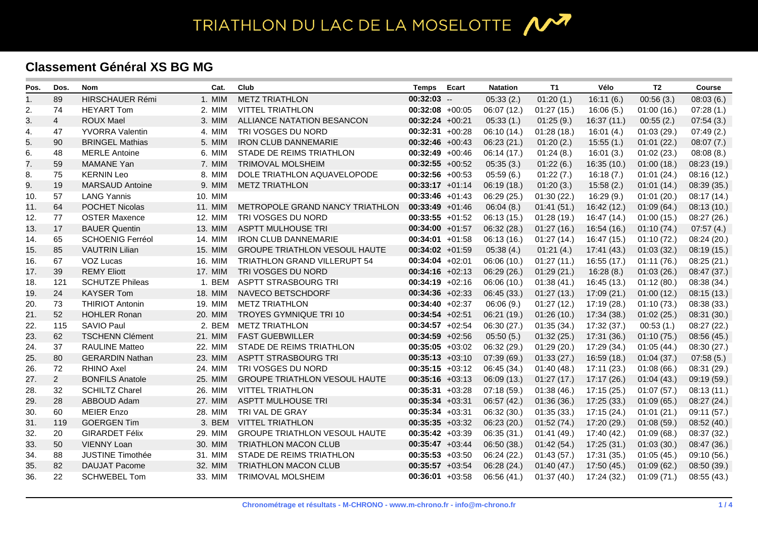## **Classement Général XS BG MG**

| Pos. | Dos.           | <b>Nom</b>              | Cat.    | Club                                 | <b>Temps</b>      | Ecart | <b>Natation</b> | T1         | Vélo        | T <sub>2</sub> | <b>Course</b> |
|------|----------------|-------------------------|---------|--------------------------------------|-------------------|-------|-----------------|------------|-------------|----------------|---------------|
| 1.   | 89             | HIRSCHAUER Rémi         | 1. MIM  | <b>METZ TRIATHLON</b>                | $00:32:03$ --     |       | 05:33(2)        | 01:20(1.)  | 16:11(6.)   | 00:56(3.)      | 08:03(6.)     |
| 2.   | 74             | <b>HEYART Tom</b>       | 2. MIM  | <b>VITTEL TRIATHLON</b>              | $00:32:08$ +00:05 |       | 06:07(12.)      | 01:27(15.) | 16:06(5.)   | 01:00(16.)     | 07:28(1.)     |
| 3.   | $\overline{4}$ | <b>ROUX Mael</b>        | 3. MIM  | ALLIANCE NATATION BESANCON           | $00:32:24 +00:21$ |       | 05:33(1.)       | 01:25(9.)  | 16:37(11)   | 00:55(2)       | 07:54(3.)     |
| 4.   | 47             | <b>YVORRA Valentin</b>  | 4. MIM  | TRI VOSGES DU NORD                   | $00:32:31 +00:28$ |       | 06:10 (14.)     | 01:28(18.) | 16:01(4)    | 01:03(29.)     | 07:49(2.)     |
| 5.   | 90             | <b>BRINGEL Mathias</b>  | 5. MIM  | <b>IRON CLUB DANNEMARIE</b>          | $00:32:46$ +00:43 |       | 06:23(21.)      | 01:20(2.)  | 15:55(1)    | 01:01(22.)     | 08:07(7.)     |
| 6.   | 48             | <b>MERLE Antoine</b>    | 6. MIM  | STADE DE REIMS TRIATHLON             | $00:32:49 +00:46$ |       | 06:14(17.)      | 01:24(8.)  | 16:01(3)    | 01:02(23.)     | 08:08(8.)     |
| 7.   | 59             | <b>MAMANE Yan</b>       | 7. MIM  | TRIMOVAL MOLSHEIM                    | $00:32:55 +00:52$ |       | 05:35(3.)       | 01:22(6.)  | 16:35(10.)  | 01:00(18.)     | 08:23 (19.)   |
| 8.   | 75             | <b>KERNIN Leo</b>       | 8. MIM  | DOLE TRIATHLON AQUAVELOPODE          | $00:32:56 +00:53$ |       | 05:59(6.)       | 01:22(7.)  | 16:18(7)    | 01:01(24.)     | 08:16(12.)    |
| 9.   | 19             | <b>MARSAUD Antoine</b>  | 9. MIM  | <b>METZ TRIATHLON</b>                | $00:33:17 +01:14$ |       | 06:19(18.)      | 01:20(3.)  | 15:58(2.)   | 01:01(14.)     | 08:39(35.)    |
| 10.  | 57             | <b>LANG Yannis</b>      | 10. MIM |                                      | $00:33:46$ +01:43 |       | 06:29(25.)      | 01:30(22.) | 16:29(9.)   | 01:01(20.)     | 08:17 (14.)   |
| 11.  | 64             | <b>POCHET Nicolas</b>   | 11. MIM | METROPOLE GRAND NANCY TRIATHLON      | $00:33:49 +01:46$ |       | 06:04(8.)       | 01:41(51.) | 16:42 (12.) | 01:09(64.)     | 08:13(10.)    |
| 12.  | 77             | <b>OSTER Maxence</b>    | 12. MIM | TRI VOSGES DU NORD                   | $00:33:55 +01:52$ |       | 06:13(15.)      | 01:28(19.) | 16:47 (14.) | 01:00(15.)     | 08:27 (26.)   |
| 13.  | 17             | <b>BAUER Quentin</b>    | 13. MIM | <b>ASPTT MULHOUSE TRI</b>            | $00:34:00 +01:57$ |       | 06:32 (28.)     | 01:27(16.) | 16:54 (16.) | 01:10(74.)     | 07:57(4.)     |
| 14.  | 65             | <b>SCHOENIG Ferréol</b> | 14. MIM | <b>IRON CLUB DANNEMARIE</b>          | $00:34:01 +01:58$ |       | 06:13(16.)      | 01:27(14.) | 16:47 (15.) | 01:10(72.)     | 08:24 (20.)   |
| 15.  | 85             | <b>VAUTRIN Lilian</b>   | 15. MIM | <b>GROUPE TRIATHLON VESOUL HAUTE</b> | $00:34:02 +01:59$ |       | 05:38(4)        | 01:21(4.)  | 17:41 (43.) | 01:03(32)      | 08:19(15.)    |
| 16.  | 67             | VOZ Lucas               | 16. MIM | TRIATHLON GRAND VILLERUPT 54         | $00:34:04 +02:01$ |       | 06:06 (10.)     | 01:27(11.) | 16:55 (17.) | 01:11(76.)     | 08:25(21.)    |
| 17.  | 39             | <b>REMY Eliott</b>      | 17. MIM | TRI VOSGES DU NORD                   | $00:34:16 +02:13$ |       | 06:29(26.)      | 01:29(21.) | 16:28(8)    | 01:03(26.)     | 08:47 (37.)   |
| 18.  | 121            | <b>SCHUTZE Phileas</b>  | 1. BEM  | <b>ASPTT STRASBOURG TRI</b>          | $00:34:19 +02:16$ |       | 06:06 (10.)     | 01:38(41)  | 16:45 (13.) | 01:12(80.)     | 08:38 (34.)   |
| 19.  | 24             | <b>KAYSER Tom</b>       | 18. MIM | NAVECO BETSCHDORF                    | $00:34:36 +02:33$ |       | 06:45(33.)      | 01:27(13)  | 17:09(21.)  | 01:00(12.)     | 08:15(13)     |
| 20.  | 73             | <b>THIRIOT Antonin</b>  | 19. MIM | <b>METZ TRIATHLON</b>                | $00:34:40 +02:37$ |       | 06:06(9.)       | 01:27(12.) | 17:19 (28.) | 01:10(73.)     | 08:38 (33.)   |
| 21.  | 52             | <b>HOHLER Ronan</b>     | 20. MIM | TROYES GYMNIQUE TRI 10               | $00:34:54 +02:51$ |       | 06:21 (19.)     | 01:26(10.) | 17:34 (38.) | 01:02(25.)     | 08:31 (30.)   |
| 22.  | 115            | SAVIO Paul              | 2. BEM  | <b>METZ TRIATHLON</b>                | $00:34:57 +02:54$ |       | 06:30(27.)      | 01:35(34.) | 17:32 (37.) | 00:53(1)       | 08:27 (22.)   |
| 23.  | 62             | <b>TSCHENN Clément</b>  | 21. MIM | <b>FAST GUEBWILLER</b>               | $00:34:59 +02:56$ |       | 05:50(5.)       | 01:32(25.) | 17:31 (36.) | 01:10(75.)     | 08:56(45)     |
| 24.  | 37             | <b>RAULINE Matteo</b>   | 22. MIM | STADE DE REIMS TRIATHLON             | $00:35:05 +03:02$ |       | 06:32 (29.)     | 01:29(20.) | 17:29 (34.) | 01:05(44.)     | 08:30(27.)    |
| 25.  | 80             | <b>GERARDIN Nathan</b>  | 23. MIM | <b>ASPTT STRASBOURG TRI</b>          | $00:35:13 +03:10$ |       | 07:39(69.)      | 01:33(27.) | 16:59 (18.) | 01:04(37.)     | 07:58(5.)     |
| 26.  | 72             | <b>RHINO Axel</b>       | 24. MIM | TRI VOSGES DU NORD                   | $00:35:15 +03:12$ |       | 06:45 (34.)     | 01:40(48.) | 17:11 (23.) | 01:08(66)      | 08:31 (29.)   |
| 27.  | $\overline{2}$ | <b>BONFILS Anatole</b>  | 25. MIM | <b>GROUPE TRIATHLON VESOUL HAUTE</b> | $00:35:16 +03:13$ |       | 06:09(13.)      | 01:27(17.) | 17:17(26.)  | 01:04(43.)     | 09:19 (59.)   |
| 28.  | 32             | <b>SCHILTZ Charel</b>   | 26. MIM | <b>VITTEL TRIATHLON</b>              | $00:35:31 +03:28$ |       | 07:18(59.)      | 01:38(46.) | 17:15(25.)  | 01:07(57.)     | 08:13(11)     |
| 29.  | 28             | ABBOUD Adam             | 27. MIM | <b>ASPTT MULHOUSE TRI</b>            | $00:35:34 +03:31$ |       | 06:57(42.)      | 01:36(36)  | 17:25 (33.) | 01:09(65.)     | 08:27(24)     |
| 30.  | 60             | <b>MEIER Enzo</b>       | 28. MIM | TRI VAL DE GRAY                      | $00:35:34 +03:31$ |       | 06:32 (30.)     | 01:35(33)  | 17:15 (24.) | 01:01(21.)     | 09:11 (57.)   |
| 31.  | 119            | <b>GOERGEN Tim</b>      | 3. BEM  | <b>VITTEL TRIATHLON</b>              | $00:35:35 +03:32$ |       | 06:23(20.)      | 01:52(74)  | 17:20 (29.) | 01:08(59.)     | 08:52(40.)    |
| 32.  | 20             | <b>GIRARDET Félix</b>   | 29. MIM | <b>GROUPE TRIATHLON VESOUL HAUTE</b> | $00:35:42 +03:39$ |       | 06:35(31.)      | 01:41(49.) | 17:40 (42.) | 01:09(68.)     | 08:37 (32.)   |
| 33.  | 50             | <b>VIENNY Loan</b>      | 30. MIM | <b>TRIATHLON MACON CLUB</b>          | $00:35:47 +03:44$ |       | 06:50(38.)      | 01:42(54)  | 17:25 (31.) | 01:03(30.)     | 08:47 (36.)   |
| 34.  | 88             | <b>JUSTINE Timothée</b> | 31. MIM | STADE DE REIMS TRIATHLON             | $00:35:53 +03:50$ |       | 06:24 (22.)     | 01:43(57.) | 17:31 (35.) | 01:05(45)      | 09:10 (56.)   |
| 35.  | 82             | <b>DAUJAT Pacome</b>    | 32. MIM | <b>TRIATHLON MACON CLUB</b>          | $00:35:57 +03:54$ |       | 06:28 (24.)     | 01:40(47.) | 17:50 (45.) | 01:09(62)      | 08:50(39)     |
| 36.  | 22             | <b>SCHWEBEL Tom</b>     | 33. MIM | <b>TRIMOVAL MOLSHEIM</b>             | $00:36:01 +03:58$ |       | 06:56 (41.)     | 01:37(40.) | 17:24 (32.) | 01:09(71)      | 08:55(43)     |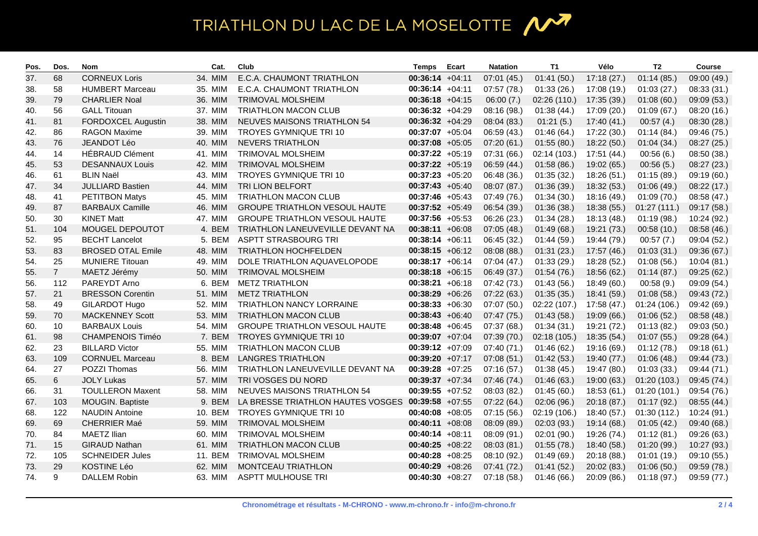## TRIATHLON DU LAC DE LA MOSELOTTE 1

| Pos. | Dos.           | <b>Nom</b>               | Cat.    | Club                                 | <b>Temps</b>       | Ecart | <b>Natation</b> | T1          | Vélo        | T <sub>2</sub> | <b>Course</b> |
|------|----------------|--------------------------|---------|--------------------------------------|--------------------|-------|-----------------|-------------|-------------|----------------|---------------|
| 37.  | 68             | <b>CORNEUX Loris</b>     | 34. MIM | E.C.A. CHAUMONT TRIATHLON            | $00:36:14 +04:11$  |       | 07:01(45.)      | 01:41(50.)  | 17:18(27.)  | 01:14(85.)     | 09:00 (49.)   |
| 38.  | 58             | <b>HUMBERT Marceau</b>   | 35. MIM | E.C.A. CHAUMONT TRIATHLON            | $00:36:14 +04:11$  |       | 07:57(78.)      | 01:33(26.)  | 17:08 (19.) | 01:03(27.)     | 08:33 (31.)   |
| 39.  | 79             | <b>CHARLIER Noal</b>     | 36. MIM | <b>TRIMOVAL MOLSHEIM</b>             | $00:36:18 +04:15$  |       | 06:00(7.)       | 02:26(110.) | 17:35 (39.) | 01:08(60)      | 09:09 (53.)   |
| 40.  | 56             | <b>GALL Titouan</b>      | 37. MIM | <b>TRIATHLON MACON CLUB</b>          | $00:36:32 +04:29$  |       | 08:16 (98.)     | 01:38(44)   | 17:09 (20.) | 01:09(67)      | 08:20 (16.)   |
| 41.  | 81             | FORDOXCEL Augustin       | 38. MIM | <b>NEUVES MAISONS TRIATHLON 54</b>   | $00:36:32 +04:29$  |       | 08:04(83)       | 01:21(5.)   | 17:40 (41.) | 00:57(4.)      | 08:30 (28.)   |
| 42.  | 86             | <b>RAGON Maxime</b>      | 39. MIM | TROYES GYMNIQUE TRI 10               | $00:37:07 +05:04$  |       | 06:59(43.)      | 01:46(64)   | 17:22 (30.) | 01:14(84.)     | 09:46 (75.)   |
| 43.  | 76             | JEANDOT Léo              | 40. MIM | <b>NEVERS TRIATHLON</b>              | $00:37:08$ +05:05  |       | 07:20(61.)      | 01:55(80.)  | 18:22(50.)  | 01:04(34.)     | 08:27(25.)    |
| 44.  | 14             | <b>HÉBRAUD Clément</b>   | 41. MIM | <b>TRIMOVAL MOLSHEIM</b>             | $00:37:22 +05:19$  |       | 07:31(66.)      | 02:14(103.) | 17:51 (44.) | 00:56(6)       | 08:50 (38.)   |
| 45.  | 53             | <b>DESANNAUX Louis</b>   | 42. MIM | <b>TRIMOVAL MOLSHEIM</b>             | $00:37:22 +05:19$  |       | 06:59(44.)      | 01:58(86.)  | 19:02 (65.) | 00:56(5.)      | 08:27(23.)    |
| 46.  | 61             | <b>BLIN Naël</b>         | 43. MIM | <b>TROYES GYMNIQUE TRI 10</b>        | $00:37:23 +05:20$  |       | 06:48 (36.)     | 01:35(32.)  | 18:26 (51.) | 01:15(89.)     | 09:19 (60.)   |
| 47.  | 34             | <b>JULLIARD Bastien</b>  | 44. MIM | TRI LION BELFORT                     | $00:37:43 +05:40$  |       | 08:07 (87.)     | 01:36(39)   | 18:32 (53.) | 01:06(49.)     | 08:22 (17.)   |
| 48.  | 41             | <b>PETITBON Matys</b>    | 45. MIM | <b>TRIATHLON MACON CLUB</b>          | $00:37:46$ +05:43  |       | 07:49(76.)      | 01:34(30.)  | 18:16 (49.) | 01:09(70.)     | 08:58 (47.)   |
| 49.  | 87             | <b>BARBAUX Camille</b>   | 46. MIM | <b>GROUPE TRIATHLON VESOUL HAUTE</b> | $00:37:52 +05:49$  |       | 06:54(39.)      | 01:36(38.)  | 18:38 (55.) | 01:27(111.)    | 09:17 (58.)   |
| 50.  | 30             | <b>KINET Matt</b>        | 47. MIM | <b>GROUPE TRIATHLON VESOUL HAUTE</b> | $00:37:56$ +05:53  |       | 06:26 (23.)     | 01:34(28.)  | 18:13 (48.) | 01:19(98.)     | 10:24 (92.)   |
| 51.  | 104            | MOUGEL DEPOUTOT          | 4. BEM  | TRIATHLON LANEUVEVILLE DEVANT NA     | $00:38:11 + 06:08$ |       | 07:05(48.)      | 01:49(68.)  | 19:21 (73.) | 00:58(10)      | 08:58(46.)    |
| 52.  | 95             | <b>BECHT Lancelot</b>    | 5. BEM  | <b>ASPTT STRASBOURG TRI</b>          | $00:38:14 +06:11$  |       | 06:45 (32.)     | 01:44(59.)  | 19:44 (79.) | 00:57(7.)      | 09:04 (52.)   |
| 53.  | 83             | <b>BROSED OTAL Emile</b> | 48. MIM | <b>TRIATHLON HOCHFELDEN</b>          | $00:38:15 +06:12$  |       | 08:08 (88.)     | 01:31(23.)  | 17:57 (46.) | 01:03(31.)     | 09:36 (67.)   |
| 54.  | 25             | <b>MUNIERE Titouan</b>   | 49. MIM | DOLE TRIATHLON AQUAVELOPODE          | $00:38:17 +06:14$  |       | 07:04(47.)      | 01:33(29.)  | 18:28 (52.) | 01:08(56)      | 10:04(81.)    |
| 55.  | $\overline{7}$ | MAETZ Jérémy             | 50. MIM | TRIMOVAL MOLSHEIM                    | $00:38:18 +06:15$  |       | 06:49 (37.)     | 01:54(76.)  | 18:56 (62.) | 01:14(87)      | 09:25 (62.)   |
| 56.  | 112            | PAREYDT Arno             | 6. BEM  | <b>METZ TRIATHLON</b>                | $00:38:21 +06:18$  |       | 07:42(73.)      | 01:43(56.)  | 18:49 (60.) | 00:58(9)       | 09:09 (54.)   |
| 57.  | 21             | <b>BRESSON Corentin</b>  | 51. MIM | <b>METZ TRIATHLON</b>                | $00:38:29 +06:26$  |       | 07:22(63.)      | 01:35(35.)  | 18:41 (59.) | 01:08(58.)     | 09:43 (72.)   |
| 58.  | 49             | <b>GILARDOT Hugo</b>     | 52. MIM | <b>TRIATHLON NANCY LORRAINE</b>      | $00:38:33 +06:30$  |       | 07:07(50.)      | 02:22(107.) | 17:58 (47.) | 01:24(106.)    | 09:42 (69.)   |
| 59.  | 70             | <b>MACKENNEY Scott</b>   | 53. MIM | <b>TRIATHLON MACON CLUB</b>          | $00:38:43 +06:40$  |       | 07:47(75.)      | 01:43(58.)  | 19:09 (66.) | 01:06(52)      | 08:58(48.)    |
| 60.  | 10             | <b>BARBAUX Louis</b>     | 54. MIM | <b>GROUPE TRIATHLON VESOUL HAUTE</b> | $00:38:48 +06:45$  |       | 07:37(68.)      | 01:34(31.)  | 19:21 (72.) | 01:13(82)      | 09:03 (50.)   |
| 61.  | 98             | <b>CHAMPENOIS Timéo</b>  | 7. BEM  | <b>TROYES GYMNIQUE TRI 10</b>        | $00:39:07 +07:04$  |       | 07:39(70.)      | 02:18(105.) | 18:35 (54.) | 01:07(55.)     | 09:28 (64.)   |
| 62.  | 23             | <b>BILLARD Victor</b>    | 55. MIM | <b>TRIATHLON MACON CLUB</b>          | $00:39:12 +07:09$  |       | 07:40(71.)      | 01:46(62)   | 19:16 (69.) | 01:12(78.)     | 09:18 (61.)   |
| 63.  | 109            | <b>CORNUEL Marceau</b>   | 8. BEM  | <b>LANGRES TRIATHLON</b>             | $00:39:20 +07:17$  |       | 07:08 (51.)     | 01:42(53.)  | 19:40 (77.) | 01:06(48.)     | 09:44 (73.)   |
| 64.  | 27             | POZZI Thomas             | 56. MIM | TRIATHLON LANEUVEVILLE DEVANT NA     | $00:39:28$ +07:25  |       | 07:16(57.)      | 01:38(45.)  | 19:47 (80.) | 01:03(33)      | 09:44 (71.)   |
| 65.  | $\,6\,$        | <b>JOLY Lukas</b>        | 57. MIM | TRI VOSGES DU NORD                   | $00:39:37 +07:34$  |       | 07:46(74.)      | 01:46(63)   | 19:00 (63.) | 01:20(103.)    | 09:45 (74.)   |
| 66.  | 31             | <b>TOULLERON Maxent</b>  | 58. MIM | <b>NEUVES MAISONS TRIATHLON 54</b>   | $00:39:55 +07:52$  |       | 08:03(82)       | 01:45(60.)  | 18:53(61)   | 01:20(101.)    | 09:54 (76.)   |
| 67.  | 103            | MOUGIN. Baptiste         | 9. BEM  | LA BRESSE TRIATHLON HAUTES VOSGES    | $00:39:58$ +07:55  |       | 07:22(64.)      | 02:06(96.)  | 20:18 (87.) | 01:17(92.)     | 08:55(44.)    |
| 68.  | 122            | <b>NAUDIN Antoine</b>    | 10. BEM | TROYES GYMNIQUE TRI 10               | $00:40:08$ +08:05  |       | 07:15(56.)      | 02:19(106.) | 18:40 (57.) | 01:30(112.)    | 10:24 (91.)   |
| 69.  | 69             | <b>CHERRIER Maé</b>      | 59. MIM | <b>TRIMOVAL MOLSHEIM</b>             | $00:40:11 + 08:08$ |       | 08:09 (89.)     | 02:03(93)   | 19:14 (68.) | 01:05(42)      | 09:40 (68.)   |
| 70.  | 84             | <b>MAETZ Ilian</b>       | 60. MIM | <b>TRIMOVAL MOLSHEIM</b>             | $00:40:14 +08:11$  |       | 08:09 (91.)     | 02:01(90.)  | 19:26 (74.) | 01:12(81.)     | 09:26 (63.)   |
| 71.  | 15             | <b>GIRAUD Nathan</b>     | 61. MIM | <b>TRIATHLON MACON CLUB</b>          | $00:40:25$ +08:22  |       | 08:03(81.)      | 01:55(78.)  | 18:40 (58.) | 01:20(99.)     | 10:27 (93.)   |
| 72.  | 105            | <b>SCHNEIDER Jules</b>   | 11. BEM | <b>TRIMOVAL MOLSHEIM</b>             | $00:40:28$ +08:25  |       | 08:10 (92.)     | 01:49(69)   | 20:18 (88.) | 01:01(19.)     | 09:10 (55.)   |
| 73.  | 29             | <b>KOSTINE Léo</b>       | 62. MIM | <b>MONTCEAU TRIATHLON</b>            | $00:40:29 +08:26$  |       | 07:41(72.)      | 01:41(52.)  | 20:02 (83.) | 01:06(50.)     | 09:59 (78.)   |
| 74.  | 9              | <b>DALLEM Robin</b>      | 63. MIM | <b>ASPTT MULHOUSE TRI</b>            | $00:40:30 +08:27$  |       | 07:18(58.)      | 01:46(66)   | 20:09 (86.) | 01:18(97.)     | 09:59 (77.)   |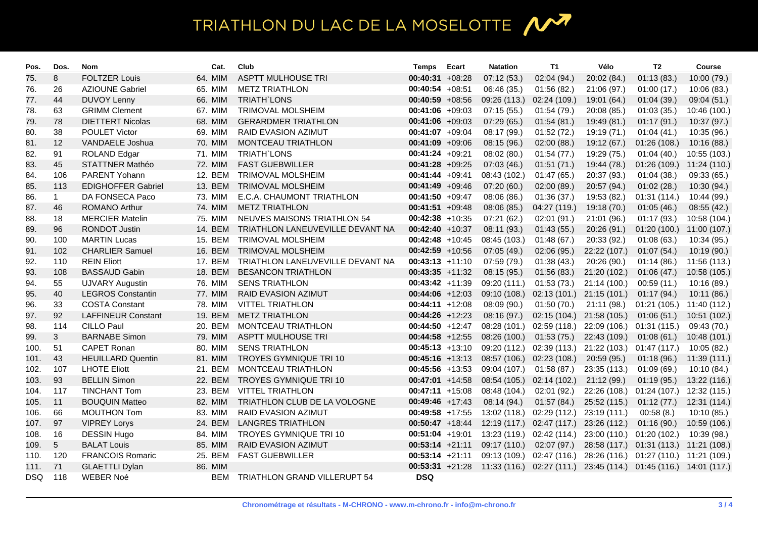## TRIATHLON DU LAC DE LA MOSELOTTE 1

| Pos. | Dos.           | <b>Nom</b>                |         | Cat.    | Club                             | <b>Temps</b>       | Ecart | <b>Natation</b>                                                                  | T1           | Vélo                                                | T <sub>2</sub>                         | <b>Course</b> |
|------|----------------|---------------------------|---------|---------|----------------------------------|--------------------|-------|----------------------------------------------------------------------------------|--------------|-----------------------------------------------------|----------------------------------------|---------------|
| 75.  | 8              | <b>FOLTZER Louis</b>      |         | 64. MIM | <b>ASPTT MULHOUSE TRI</b>        | $00:40:31 +08:28$  |       | 07:12(53.)                                                                       | 02:04 (94.)  | 20:02 (84.)                                         | 01:13(83)                              | 10:00 (79.)   |
| 76.  | 26             | <b>AZIOUNE Gabriel</b>    | 65. MIM |         | <b>METZ TRIATHLON</b>            | $00:40:54 +08:51$  |       | 06:46 (35.)                                                                      | 01:56(82.)   | 21:06 (97.)                                         | 01:00(17.)                             | 10:06 (83.)   |
| 77.  | 44             | <b>DUVOY Lenny</b>        |         | 66. MIM | <b>TRIATH LONS</b>               | $00:40:59 +08:56$  |       | 09:26 (113.)                                                                     | 02:24 (109.) | 19:01 (64.)                                         | 01:04(39.)                             | 09:04 (51.)   |
| 78.  | 63             | <b>GRIMM Clement</b>      | 67. MIM |         | TRIMOVAL MOLSHEIM                | $00:41:06 +09:03$  |       | 07:15(55)                                                                        | 01:54(79.)   | 20:08 (85.)                                         | 01:03(35.)                             | 10:46 (100.)  |
| 79.  | 78             | <b>DIETTERT Nicolas</b>   | 68. MIM |         | <b>GERARDMER TRIATHLON</b>       | $00:41:06 +09:03$  |       | 07:29(65.)                                                                       | 01:54(81.)   | 19:49 (81.)                                         | 01:17(91.)                             | 10:37 (97.)   |
| 80.  | 38             | POULET Victor             | 69. MIM |         | RAID EVASION AZIMUT              | $00:41:07 +09:04$  |       | 08:17 (99.)                                                                      | 01:52(72.)   | 19:19 (71.)                                         | 01:04(41.)                             | 10:35 (96.)   |
| 81.  | 12             | VANDAELE Joshua           | 70. MIM |         | MONTCEAU TRIATHLON               | $00:41:09 +09:06$  |       | 08:15 (96.)                                                                      | 02:00(88.)   | 19:12 (67.)                                         | 01:26(108.)                            | 10:16(88)     |
| 82.  | 91             | <b>ROLAND Edgar</b>       | 71. MIM |         | <b>TRIATH'LONS</b>               | $00:41:24 +09:21$  |       | 08:02(80.)                                                                       | 01:54(77.)   | 19:29 (75.)                                         | 01:04(40.)                             | 10:55 (103.)  |
| 83.  | 45             | STATTNER Mathéo           | 72. MIM |         | <b>FAST GUEBWILLER</b>           | $00:41:28 +09:25$  |       | 07:03(46.)                                                                       | 01:51(71.)   | 19:44 (78.)                                         | 01:26(109.)                            | 11:24 (110.)  |
| 84.  | 106            | PARENT Yohann             |         | 12. BEM | <b>TRIMOVAL MOLSHEIM</b>         | $00:41:44 +09:41$  |       | 08:43 (102.)                                                                     | 01:47(65)    | 20:37 (93.)                                         | 01:04(38.)                             | 09:33 (65.)   |
| 85.  | 113            | <b>EDIGHOFFER Gabriel</b> |         | 13. BEM | TRIMOVAL MOLSHEIM                | $00:41:49 +09:46$  |       | 07:20(60.)                                                                       | 02:00(89.)   | 20:57 (94.)                                         | 01:02(28.)                             | 10:30 (94.)   |
| 86.  | $\mathbf{1}$   | DA FONSECA Paco           | 73. MIM |         | E.C.A. CHAUMONT TRIATHLON        | $00:41:50 +09:47$  |       | 08:06 (86.)                                                                      | 01:36(37.)   | 19:53 (82.)                                         | 01:31(114.)                            | 10:44 (99.)   |
| 87.  | 46             | <b>ROMANO Arthur</b>      |         | 74. MIM | <b>METZ TRIATHLON</b>            | $00:41:51 +09:48$  |       | 08:06 (85.)                                                                      | 04:27 (119.) | 19:18 (70.)                                         | 01:05(46.)                             | 08:55(42.)    |
| 88.  | 18             | <b>MERCIER Matelin</b>    | 75. MIM |         | NEUVES MAISONS TRIATHLON 54      | $00:42:38$ +10:35  |       | 07:21 (62.)                                                                      | 02:01 (91.)  | 21:01 (96.)                                         | 01:17(93)                              | 10:58 (104.)  |
| 89.  | 96             | <b>RONDOT Justin</b>      |         | 14. BEM | TRIATHLON LANEUVEVILLE DEVANT NA | $00:42:40 +10:37$  |       | 08:11 (93.)                                                                      | 01:43(55.)   | 20:26 (91.)                                         | 01:20(100.)                            | 11:00 (107.)  |
| 90.  | 100            | <b>MARTIN Lucas</b>       |         | 15. BEM | <b>TRIMOVAL MOLSHEIM</b>         | $00:42:48$ +10:45  |       | 08:45 (103.)                                                                     | 01:48(67.)   | 20:33 (92.)                                         | 01:08(63)                              | 10:34 (95.)   |
| 91.  | 102            | <b>CHARLIER Samuel</b>    |         | 16. BEM | TRIMOVAL MOLSHEIM                | $00:42:59$ +10:56  |       | 07:05(49.)                                                                       | 02:06 (95.)  | 22:22 (107.)                                        | 01:07(54)                              | 10:19(90.)    |
| 92.  | 110            | <b>REIN Eliott</b>        |         | 17. BEM | TRIATHLON LANEUVEVILLE DEVANT NA | $00:43:13 +11:10$  |       | 07:59 (79.)                                                                      | 01:38(43)    | 20:26 (90.)                                         | 01:14(86.)                             | 11:56 (113.)  |
| 93.  | 108            | <b>BASSAUD Gabin</b>      |         | 18. BEM | <b>BESANCON TRIATHLON</b>        | $00:43:35 +11:32$  |       | 08:15 (95.)                                                                      | 01:56(83.)   | 21:20 (102.)                                        | 01:06(47.)                             | 10:58 (105.)  |
| 94.  | 55             | <b>UJVARY Augustin</b>    | 76. MIM |         | <b>SENS TRIATHLON</b>            | $00:43:42 +11:39$  |       | 09:20 (111.)                                                                     | 01:53(73.)   | 21:14(100.)                                         | 00:59(11)                              | 10:16 (89.)   |
| 95.  | 40             | <b>LEGROS Constantin</b>  | 77. MIM |         | RAID EVASION AZIMUT              | $00:44:06$ +12:03  |       | 09:10 (108.)                                                                     |              | $02:13(101.)$ 21:15 $(101.)$                        | 01:17(94)                              | 10:11(86.)    |
| 96.  | 33             | <b>COSTA Constant</b>     | 78. MIM |         | <b>VITTEL TRIATHLON</b>          | $00:44:11 + 12:08$ |       | 08:09 (90.)                                                                      | 01:50(70.)   | 21:11(98.)                                          | 01:21 (105.) 11:40 (112.)              |               |
| 97.  | 92             | <b>LAFFINEUR Constant</b> |         | 19. BEM | <b>METZ TRIATHLON</b>            | $00:44:26$ +12:23  |       | 08:16 (97.)                                                                      |              | 02:15 (104.) 21:58 (105.)                           | 01:06(51)                              | 10:51 (102.)  |
| 98.  | 114            | <b>CILLO Paul</b>         |         | 20. BEM | MONTCEAU TRIATHLON               | $00:44:50$ +12:47  |       | 08:28 (101.)                                                                     |              | 02:59 (118.) 22:09 (106.)                           | 01:31(115.)                            | 09:43 (70.)   |
| 99.  | $\mathbf{3}$   | <b>BARNABE Simon</b>      | 79. MIM |         | <b>ASPTT MULHOUSE TRI</b>        | $00:44:58$ +12:55  |       | 08:26 (100.)                                                                     | 01:53(75.)   | 22:43 (109.)                                        | 01:08(61)                              | 10:48 (101.)  |
| 100. | 51             | <b>CAPET Ronan</b>        | 80. MIM |         | <b>SENS TRIATHLON</b>            | $00:45:13 +13:10$  |       | 09:20 (112.)                                                                     |              | 02:39 (113.) 21:22 (103.)                           | 01:47 (117.)                           | 10:05 (82.)   |
| 101. | 43             | <b>HEUILLARD Quentin</b>  | 81. MIM |         | <b>TROYES GYMNIQUE TRI 10</b>    | $00:45:16$ +13:13  |       | 08:57 (106.)                                                                     | 02:23(108.)  | 20:59 (95.)                                         | 01:18(96.)                             | 11:39 (111.)  |
| 102. | 107            | <b>LHOTE Eliott</b>       |         | 21. BEM | <b>MONTCEAU TRIATHLON</b>        | $00:45:56$ +13:53  |       | 09:04 (107.)                                                                     | 01:58(87.)   | 23:35 (113.)                                        | 01:09(69)                              | 10:10 (84.)   |
| 103. | 93             | <b>BELLIN Simon</b>       |         | 22. BEM | <b>TROYES GYMNIQUE TRI 10</b>    | $00:47:01$ +14:58  |       | 08:54 (105.)                                                                     | 02:14(102.)  | 21:12(99.)                                          | 01:19(95.)                             | 13:22 (116.)  |
| 104. | 117            | <b>TINCHANT Tom</b>       |         | 23. BEM | <b>VITTEL TRIATHLON</b>          | $00:47:11 + 15:08$ |       | 08:48 (104.)                                                                     | 02:01 (92.)  | 22:26 (108.)                                        | 01:24(107.)                            | 12:32 (115.)  |
| 105. | 11             | <b>BOUQUIN Matteo</b>     | 82. MIM |         | TRIATHLON CLUB DE LA VOLOGNE     | $00:49:46$ +17:43  |       | 08:14(94)                                                                        | 01:57(84.)   | 25:52 (115.)                                        | 01:12(77.)                             | 12:31 (114.)  |
| 106. | 66             | <b>MOUTHON Tom</b>        | 83. MIM |         | <b>RAID EVASION AZIMUT</b>       | $00:49:58$ +17:55  |       | 13:02 (118.)                                                                     | 02:29 (112.) | 23:19 (111.)                                        | 00:58(8.)                              | 10:10 (85.)   |
| 107. | 97             | <b>VIPREY Lorys</b>       |         | 24. BEM | <b>LANGRES TRIATHLON</b>         | $00:50:47$ +18:44  |       | 12:19 (117.)                                                                     |              | 02:47 (117.) 23:26 (112.)                           | 01:16(90.)                             | 10:59 (106.)  |
| 108. | 16             | <b>DESSIN Hugo</b>        | 84. MIM |         | TROYES GYMNIQUE TRI 10           | $00:51:04$ +19:01  |       | 13:23 (119.)                                                                     |              | 02:42 (114.) 23:00 (110.) 01:20 (102.)              |                                        | 10:39 (98.)   |
| 109. | $\overline{5}$ | <b>BALAT Louis</b>        | 85. MIM |         | RAID EVASION AZIMUT              | $00:53:14 +21:11$  |       | 09:17 (110.)                                                                     | 02:07(97.)   |                                                     | 28:58 (117.) 01:31 (113.) 11:21 (108.) |               |
| 110. | 120            | <b>FRANCOIS Romaric</b>   |         | 25. BEM | <b>FAST GUEBWILLER</b>           | $00:53:14 +21:11$  |       | 09:13 (109.)                                                                     |              | 02:47 (116.) 28:26 (116.) 01:27 (110.) 11:21 (109.) |                                        |               |
| 111. | 71             | <b>GLAETTLI Dylan</b>     |         | 86. MIM |                                  |                    |       | 00:53:31 +21:28 11:33 (116.) 02:27 (111.) 23:45 (114.) 01:45 (116.) 14:01 (117.) |              |                                                     |                                        |               |
| DSQ  | 118            | <b>WEBER Noé</b>          |         | BEM     | TRIATHLON GRAND VILLERUPT 54     | <b>DSQ</b>         |       |                                                                                  |              |                                                     |                                        |               |